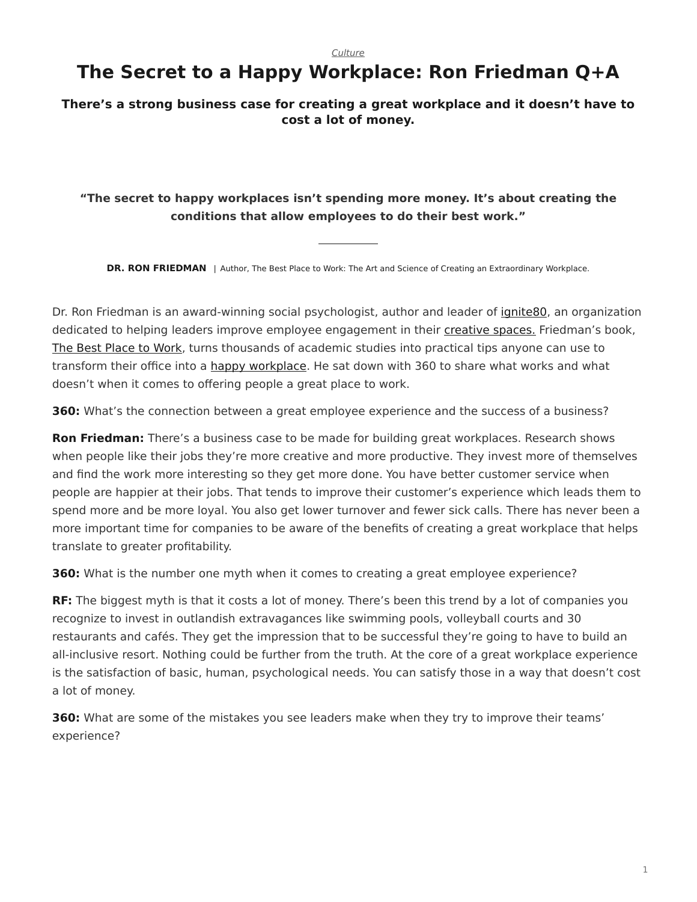*[Culture](https://www.steelcase.com/research/topics/culture/)*

## <span id="page-0-0"></span>**The Secret to a Happy Workplace: Ron Friedman Q+A**

## **There's a strong business case for creating a great workplace and it doesn't have to cost a lot of money.**

## **"The secret to happy workplaces isn't spending more money. It's about creating the conditions that allow employees to do their best work."**

**DR. RON FRIEDMAN** | Author, The Best Place to Work: The Art and Science of Creating an Extraordinary Workplace.

Dr. Ron Friedman is an award-winning social psychologist, author and leader of [ignite80,](https://www.ignite80.com/) an organization dedicated to helping leaders improve employee engagement in their [creative spaces.](https://www.steelcase.com/microsoft-steelcase/creativity/) Friedman's book, [The Best Place to Work,](https://www.amazon.com/Best-Place-Work-Extraordinary-Workplace/dp/0399165606) turns thousands of academic studies into practical tips anyone can use to transform their office into a [happy workplace](https://www.steelcase.com/research/articles/topics/wellbeing/boosting-workplace-wellbeing/). He sat down with 360 to share what works and what doesn't when it comes to offering people a great place to work.

**360:** What's the connection between a great employee experience and the success of a business?

**Ron Friedman:** There's a business case to be made for building great workplaces. Research shows when people like their jobs they're more creative and more productive. They invest more of themselves and find the work more interesting so they get more done. You have better customer service when people are happier at their jobs. That tends to improve their customer's experience which leads them to spend more and be more loyal. You also get lower turnover and fewer sick calls. There has never been a more important time for companies to be aware of the benefits of creating a great workplace that helps translate to greater profitability.

**360:** What is the number one myth when it comes to creating a great employee experience?

**RF:** The biggest myth is that it costs a lot of money. There's been this trend by a lot of companies you recognize to invest in outlandish extravagances like swimming pools, volleyball courts and 30 restaurants and cafés. They get the impression that to be successful they're going to have to build an all-inclusive resort. Nothing could be further from the truth. At the core of a great workplace experience is the satisfaction of basic, human, psychological needs. You can satisfy those in a way that doesn't cost a lot of money.

**360:** What are some of the mistakes you see leaders make when they try to improve their teams' experience?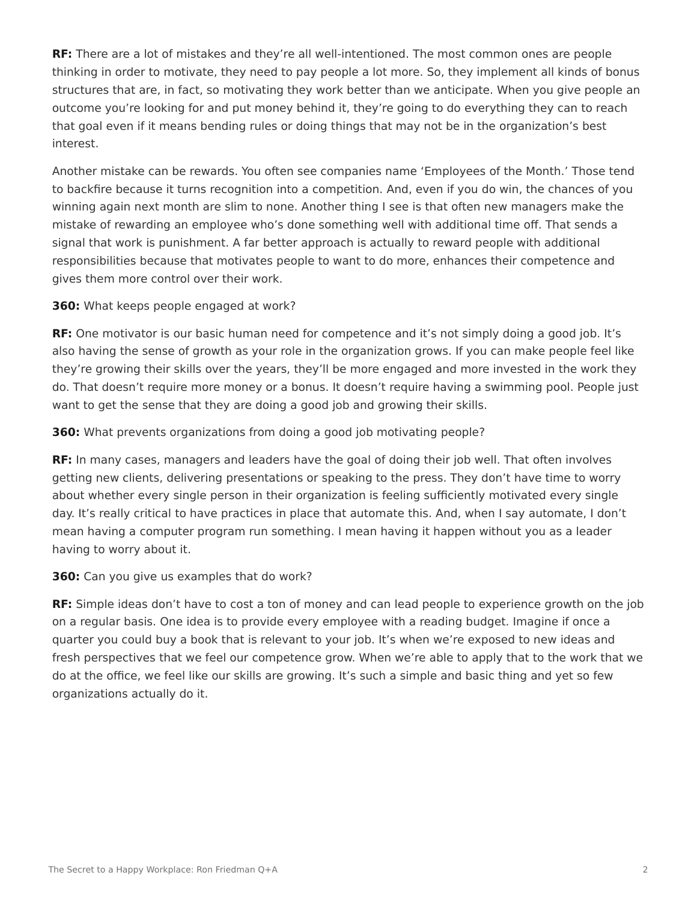**RF:** There are a lot of mistakes and they're all well-intentioned. The most common ones are people thinking in order to motivate, they need to pay people a lot more. So, they implement all kinds of bonus structures that are, in fact, so motivating they work better than we anticipate. When you give people an outcome you're looking for and put money behind it, they're going to do everything they can to reach that goal even if it means bending rules or doing things that may not be in the organization's best interest.

Another mistake can be rewards. You often see companies name 'Employees of the Month.' Those tend to backfire because it turns recognition into a competition. And, even if you do win, the chances of you winning again next month are slim to none. Another thing I see is that often new managers make the mistake of rewarding an employee who's done something well with additional time off. That sends a signal that work is punishment. A far better approach is actually to reward people with additional responsibilities because that motivates people to want to do more, enhances their competence and gives them more control over their work.

**360:** What keeps people engaged at work?

**RF:** One motivator is our basic human need for competence and it's not simply doing a good job. It's also having the sense of growth as your role in the organization grows. If you can make people feel like they're growing their skills over the years, they'll be more engaged and more invested in the work they do. That doesn't require more money or a bonus. It doesn't require having a swimming pool. People just want to get the sense that they are doing a good job and growing their skills.

**360:** What prevents organizations from doing a good job motivating people?

**RF:** In many cases, managers and leaders have the goal of doing their job well. That often involves getting new clients, delivering presentations or speaking to the press. They don't have time to worry about whether every single person in their organization is feeling sufficiently motivated every single day. It's really critical to have practices in place that automate this. And, when I say automate, I don't mean having a computer program run something. I mean having it happen without you as a leader having to worry about it.

**360:** Can you give us examples that do work?

**RF:** Simple ideas don't have to cost a ton of money and can lead people to experience growth on the job on a regular basis. One idea is to provide every employee with a reading budget. Imagine if once a quarter you could buy a book that is relevant to your job. It's when we're exposed to new ideas and fresh perspectives that we feel our competence grow. When we're able to apply that to the work that we do at the office, we feel like our skills are growing. It's such a simple and basic thing and yet so few organizations actually do it.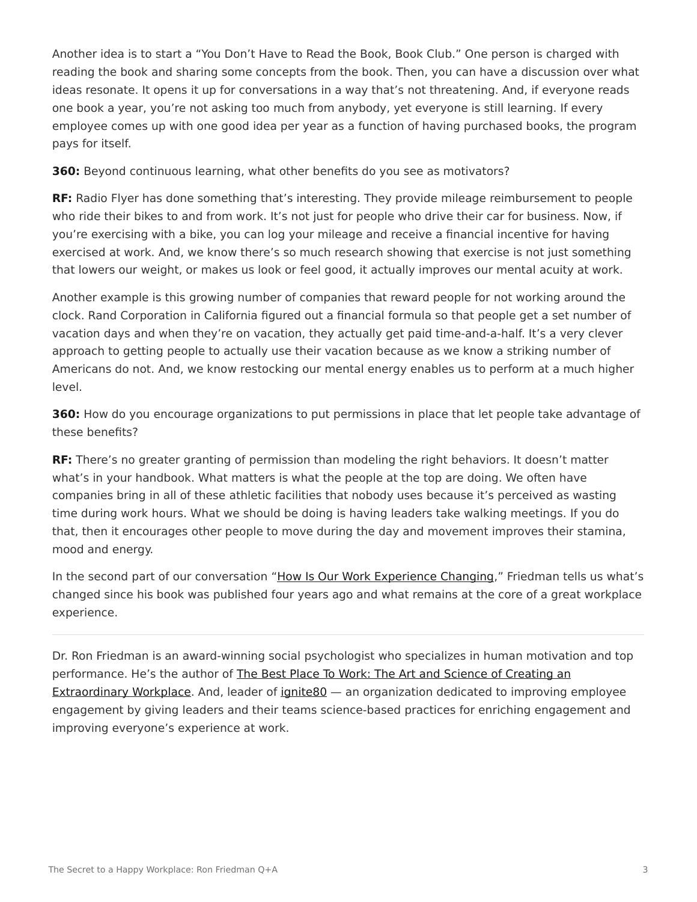Another idea is to start a "You Don't Have to Read the Book, Book Club." One person is charged with reading the book and sharing some concepts from the book. Then, you can have a discussion over what ideas resonate. It opens it up for conversations in a way that's not threatening. And, if everyone reads one book a year, you're not asking too much from anybody, yet everyone is still learning. If every employee comes up with one good idea per year as a function of having purchased books, the program pays for itself.

**360:** Beyond continuous learning, what other benefits do you see as motivators?

**RF:** Radio Flyer has done something that's interesting. They provide mileage reimbursement to people who ride their bikes to and from work. It's not just for people who drive their car for business. Now, if you're exercising with a bike, you can log your mileage and receive a financial incentive for having exercised at work. And, we know there's so much research showing that exercise is not just something that lowers our weight, or makes us look or feel good, it actually improves our mental acuity at work.

Another example is this growing number of companies that reward people for not working around the clock. Rand Corporation in California figured out a financial formula so that people get a set number of vacation days and when they're on vacation, they actually get paid time-and-a-half. It's a very clever approach to getting people to actually use their vacation because as we know a striking number of Americans do not. And, we know restocking our mental energy enables us to perform at a much higher level.

**360:** How do you encourage organizations to put permissions in place that let people take advantage of these benefits?

**RF:** There's no greater granting of permission than modeling the right behaviors. It doesn't matter what's in your handbook. What matters is what the people at the top are doing. We often have companies bring in all of these athletic facilities that nobody uses because it's perceived as wasting time during work hours. What we should be doing is having leaders take walking meetings. If you do that, then it encourages other people to move during the day and movement improves their stamina, mood and energy.

In the second part of our conversation "[How Is Our Work Experience Changing](https://www.steelcase.com/research/articles/work-experience-changing/)," Friedman tells us what's changed since his book was published four years ago and what remains at the core of a great workplace experience.

Dr. Ron Friedman is an award-winning social psychologist who specializes in human motivation and top performance. He's the author of [The Best Place To Work: The Art and Science of Creating an](https://www.amazon.com/Best-Place-Work-Extraordinary-Workplace/dp/0399165606) [Extraordinary Workplace.](https://www.amazon.com/Best-Place-Work-Extraordinary-Workplace/dp/0399165606) And, leader of ignite 80 — an organization dedicated to improving employee engagement by giving leaders and their teams science-based practices for enriching engagement and improving everyone's experience at work.